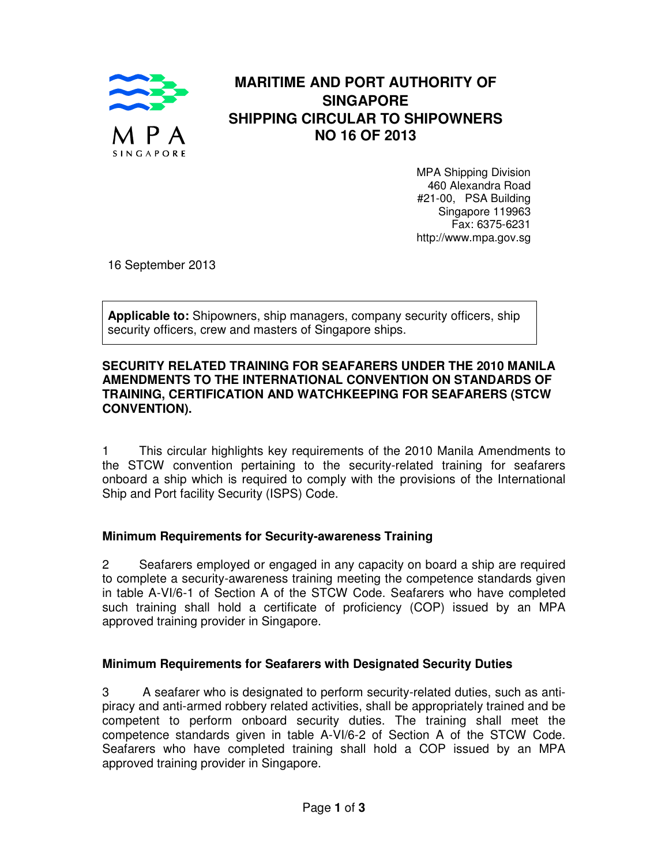

## **MARITIME AND PORT AUTHORITY OF SINGAPORE SHIPPING CIRCULAR TO SHIPOWNERS NO 16 OF 2013**

MPA Shipping Division 460 Alexandra Road #21-00, PSA Building Singapore 119963 Fax: 6375-6231 http://www.mpa.gov.sg

16 September 2013

**Applicable to:** Shipowners, ship managers, company security officers, ship security officers, crew and masters of Singapore ships.

#### **SECURITY RELATED TRAINING FOR SEAFARERS UNDER THE 2010 MANILA AMENDMENTS TO THE INTERNATIONAL CONVENTION ON STANDARDS OF TRAINING, CERTIFICATION AND WATCHKEEPING FOR SEAFARERS (STCW CONVENTION).**

1 This circular highlights key requirements of the 2010 Manila Amendments to the STCW convention pertaining to the security-related training for seafarers onboard a ship which is required to comply with the provisions of the International Ship and Port facility Security (ISPS) Code.

#### **Minimum Requirements for Security-awareness Training**

2 Seafarers employed or engaged in any capacity on board a ship are required to complete a security-awareness training meeting the competence standards given in table A-VI/6-1 of Section A of the STCW Code. Seafarers who have completed such training shall hold a certificate of proficiency (COP) issued by an MPA approved training provider in Singapore.

#### **Minimum Requirements for Seafarers with Designated Security Duties**

3 A seafarer who is designated to perform security-related duties, such as antipiracy and anti-armed robbery related activities, shall be appropriately trained and be competent to perform onboard security duties. The training shall meet the competence standards given in table A-VI/6-2 of Section A of the STCW Code. Seafarers who have completed training shall hold a COP issued by an MPA approved training provider in Singapore.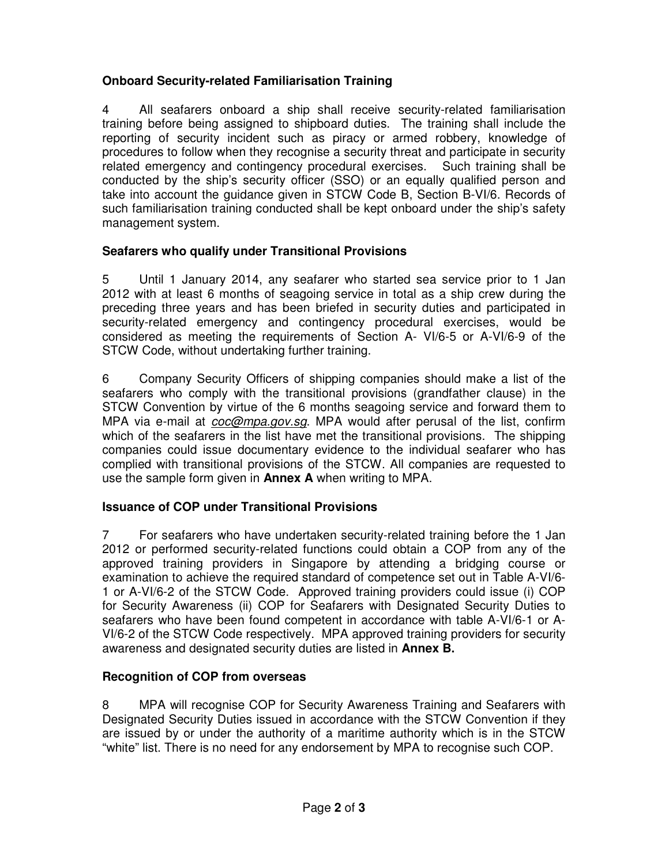## **Onboard Security-related Familiarisation Training**

4 All seafarers onboard a ship shall receive security-related familiarisation training before being assigned to shipboard duties. The training shall include the reporting of security incident such as piracy or armed robbery, knowledge of procedures to follow when they recognise a security threat and participate in security related emergency and contingency procedural exercises. Such training shall be conducted by the ship's security officer (SSO) or an equally qualified person and take into account the guidance given in STCW Code B, Section B-VI/6. Records of such familiarisation training conducted shall be kept onboard under the ship's safety management system.

# **Seafarers who qualify under Transitional Provisions**

5 Until 1 January 2014, any seafarer who started sea service prior to 1 Jan 2012 with at least 6 months of seagoing service in total as a ship crew during the preceding three years and has been briefed in security duties and participated in security-related emergency and contingency procedural exercises, would be considered as meeting the requirements of Section A- VI/6-5 or A-VI/6-9 of the STCW Code, without undertaking further training.

6 Company Security Officers of shipping companies should make a list of the seafarers who comply with the transitional provisions (grandfather clause) in the STCW Convention by virtue of the 6 months seagoing service and forward them to MPA via e-mail at *coc@mpa.gov.sg*. MPA would after perusal of the list, confirm which of the seafarers in the list have met the transitional provisions. The shipping companies could issue documentary evidence to the individual seafarer who has complied with transitional provisions of the STCW. All companies are requested to use the sample form given in **Annex A** when writing to MPA.

## **Issuance of COP under Transitional Provisions**

7 For seafarers who have undertaken security-related training before the 1 Jan 2012 or performed security-related functions could obtain a COP from any of the approved training providers in Singapore by attending a bridging course or examination to achieve the required standard of competence set out in Table A-VI/6- 1 or A-VI/6-2 of the STCW Code. Approved training providers could issue (i) COP for Security Awareness (ii) COP for Seafarers with Designated Security Duties to seafarers who have been found competent in accordance with table A-VI/6-1 or A-VI/6-2 of the STCW Code respectively. MPA approved training providers for security awareness and designated security duties are listed in **Annex B.**

## **Recognition of COP from overseas**

8 MPA will recognise COP for Security Awareness Training and Seafarers with Designated Security Duties issued in accordance with the STCW Convention if they are issued by or under the authority of a maritime authority which is in the STCW "white" list. There is no need for any endorsement by MPA to recognise such COP.